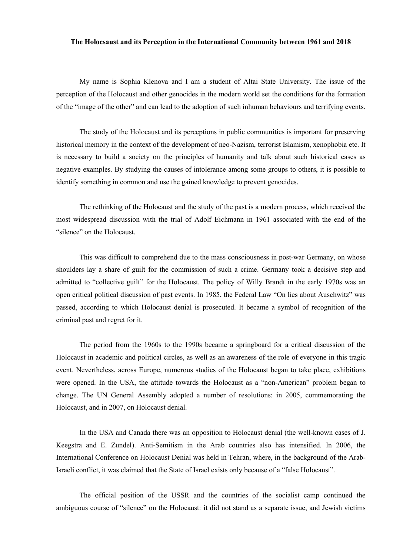## **The Holocsaust and its Perception in the International Community between 1961 and 2018**

My name is Sophia Klenova and I am a student of Altai State University. The issue of the perception of the Holocaust and other genocides in the modern world set the conditions for the formation of the "image of the other" and can lead to the adoption of such inhuman behaviours and terrifying events.

The study of the Holocaust and its perceptions in public communities is important for preserving historical memory in the context of the development of neo-Nazism, terrorist Islamism, xenophobia etc. It is necessary to build a society on the principles of humanity and talk about such historical cases as negative examples. By studying the causes of intolerance among some groups to others, it is possible to identify something in common and use the gained knowledge to prevent genocides.

The rethinking of the Holocaust and the study of the past is a modern process, which received the most widespread discussion with the trial of Adolf Eichmann in 1961 associated with the end of the "silence" on the Holocaust.

This was difficult to comprehend due to the mass consciousness in post-war Germany, on whose shoulders lay a share of guilt for the commission of such a crime. Germany took a decisive step and admitted to "collective guilt" for the Holocaust. The policy of Willy Brandt in the early 1970s was an open critical political discussion of past events. In 1985, the Federal Law "On lies about Auschwitz" was passed, according to which Holocaust denial is prosecuted. It became a symbol of recognition of the criminal past and regret for it.

The period from the 1960s to the 1990s became a springboard for a critical discussion of the Holocaust in academic and political circles, as well as an awareness of the role of everyone in this tragic event. Nevertheless, across Europe, numerous studies of the Holocaust began to take place, exhibitions were opened. In the USA, the attitude towards the Holocaust as a "non-American" problem began to change. The UN General Assembly adopted a number of resolutions: in 2005, commemorating the Holocaust, and in 2007, on Holocaust denial.

In the USA and Canada there was an opposition to Holocaust denial (the well-known cases of J. Keegstra and E. Zundel). Anti-Semitism in the Arab countries also has intensified. In 2006, the International Conference on Holocaust Denial was held in Tehran, where, in the background of the Arab-Israeli conflict, it was claimed that the State of Israel exists only because of a "false Holocaust".

The official position of the USSR and the countries of the socialist camp continued the ambiguous course of "silence" on the Holocaust: it did not stand as a separate issue, and Jewish victims